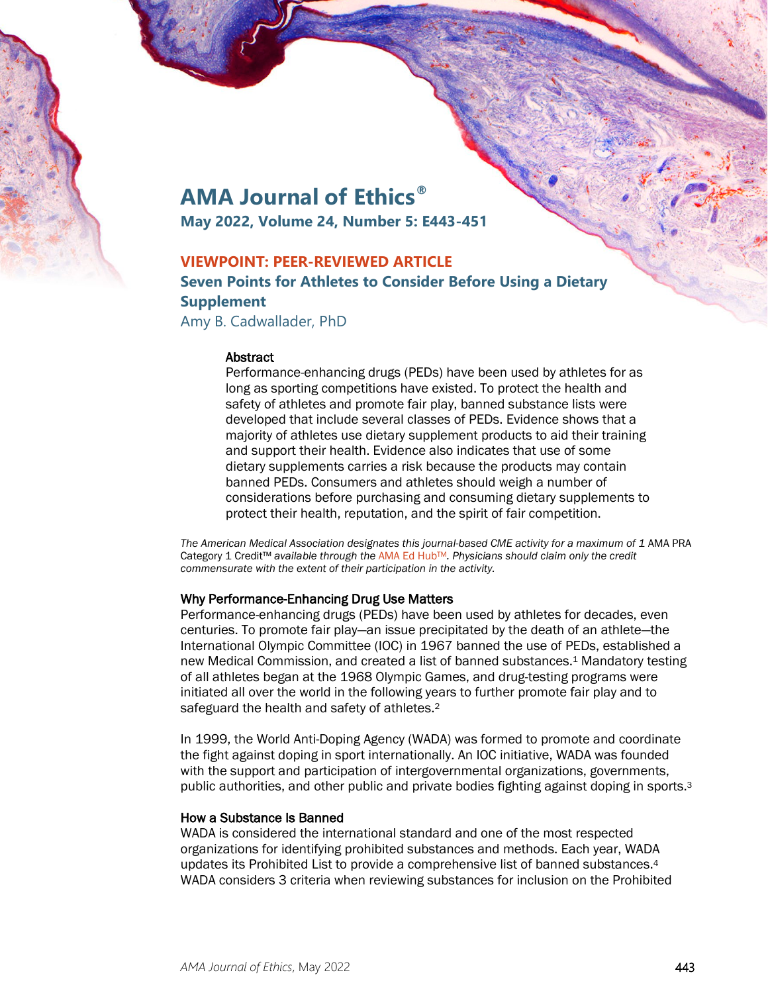

# **AMA Journal of Ethics®**

**May 2022, Volume 24, Number 5: E443-451**

# **VIEWPOINT: PEER-REVIEWED ARTICLE**

**Seven Points for Athletes to Consider Before Using a Dietary Supplement**

Amy B. Cadwallader, PhD

#### **Abstract**

Performance-enhancing drugs (PEDs) have been used by athletes for as long as sporting competitions have existed. To protect the health and safety of athletes and promote fair play, banned substance lists were developed that include several classes of PEDs. Evidence shows that a majority of athletes use dietary supplement products to aid their training and support their health. Evidence also indicates that use of some dietary supplements carries a risk because the products may contain banned PEDs. Consumers and athletes should weigh a number of considerations before purchasing and consuming dietary supplements to protect their health, reputation, and the spirit of fair competition.

*The American Medical Association designates this journal-based CME activity for a maximum of 1* AMA PRA Category 1 Credit™ *available through the* [AMA Ed HubTM](https://edhub.ama-assn.org/ama-journal-of-ethics/module/2791787)*. Physicians should claim only the credit commensurate with the extent of their participation in the activity.*

## Why Performance-Enhancing Drug Use Matters

Performance-enhancing drugs (PEDs) have been used by athletes for decades, even centuries. To promote fair play—an issue precipitated by the death of an athlete—the International Olympic Committee (IOC) in 1967 banned the use of PEDs, established a new Medical Commission, and created a list of banned substances.1 Mandatory testing of all athletes began at the 1968 Olympic Games, and drug-testing programs were initiated all over the world in the following years to further promote fair play and to safeguard the health and safety of athletes.2

In 1999, the World Anti-Doping Agency (WADA) was formed to promote and coordinate the fight against doping in sport internationally. An IOC initiative, WADA was founded with the support and participation of intergovernmental organizations, governments, public authorities, and other public and private bodies fighting against doping in sports.3

## How a Substance Is Banned

WADA is considered the international standard and one of the most respected organizations for identifying prohibited substances and methods. Each year, WADA updates its Prohibited List to provide a comprehensive list of banned substances.4 WADA considers 3 criteria when reviewing substances for inclusion on the Prohibited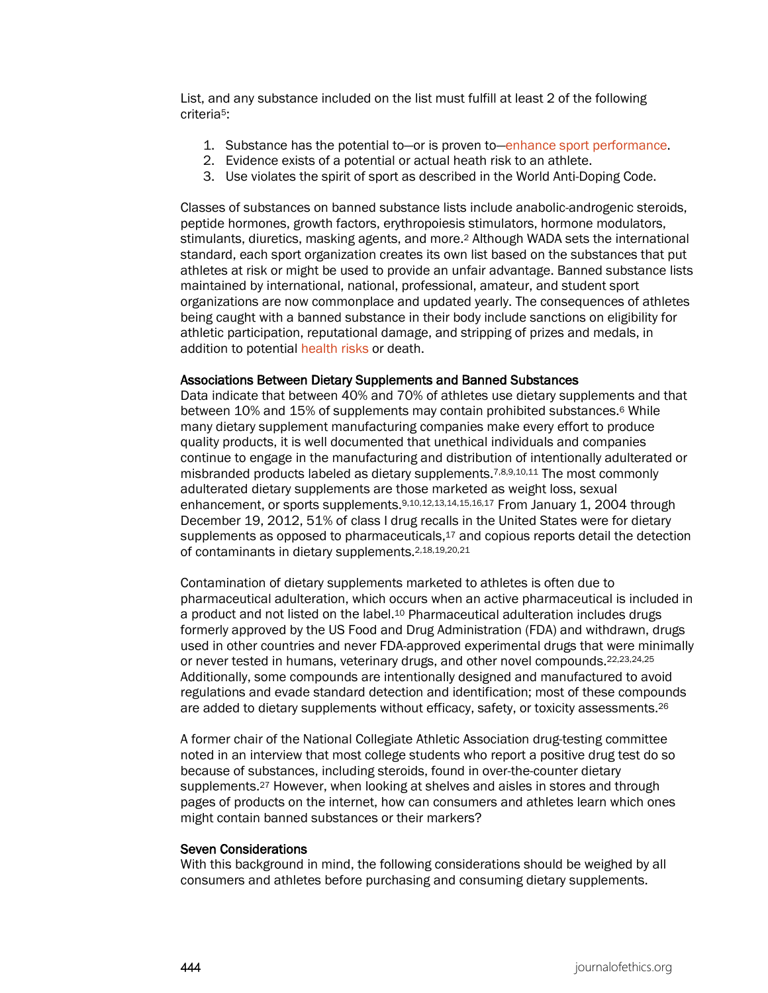List, and any substance included on the list must fulfill at least 2 of the following criteria5:

- 1. Substance has the potential to—or is proven to[—enhance sport performance.](https://journalofethics.ama-assn.org/article/patients-request-steroids-enhance-participation-wilderness-sport-and-adventure/2014-07)
- 2. Evidence exists of a potential or actual heath risk to an athlete.
- 3. Use violates the spirit of sport as described in the World Anti-Doping Code.

Classes of substances on banned substance lists include anabolic-androgenic steroids, peptide hormones, growth factors, erythropoiesis stimulators, hormone modulators, stimulants, diuretics, masking agents, and more.2 Although WADA sets the international standard, each sport organization creates its own list based on the substances that put athletes at risk or might be used to provide an unfair advantage. Banned substance lists maintained by international, national, professional, amateur, and student sport organizations are now commonplace and updated yearly. The consequences of athletes being caught with a banned substance in their body include sanctions on eligibility for athletic participation, reputational damage, and stripping of prizes and medals, in addition to potential [health risks](https://journalofethics.ama-assn.org/article/medical-ethics-and-performance-enhancing-drugs/2005-11) or death.

#### Associations Between Dietary Supplements and Banned Substances

Data indicate that between 40% and 70% of athletes use dietary supplements and that between 10% and 15% of supplements may contain prohibited substances.6 While many dietary supplement manufacturing companies make every effort to produce quality products, it is well documented that unethical individuals and companies continue to engage in the manufacturing and distribution of intentionally adulterated or misbranded products labeled as dietary supplements.7,8,9,10,11 The most commonly adulterated dietary supplements are those marketed as weight loss, sexual enhancement, or sports supplements.9,10,12,13,14,15,16,17 From January 1, 2004 through December 19, 2012, 51% of class I drug recalls in the United States were for dietary supplements as opposed to pharmaceuticals, $17$  and copious reports detail the detection of contaminants in dietary supplements.2,18,19,20,21

Contamination of dietary supplements marketed to athletes is often due to pharmaceutical adulteration, which occurs when an active pharmaceutical is included in a product and not listed on the label.10 Pharmaceutical adulteration includes drugs formerly approved by the US Food and Drug Administration (FDA) and withdrawn, drugs used in other countries and never FDA-approved experimental drugs that were minimally or never tested in humans, veterinary drugs, and other novel compounds.<sup>22,23,24,25</sup> Additionally, some compounds are intentionally designed and manufactured to avoid regulations and evade standard detection and identification; most of these compounds are added to dietary supplements without efficacy, safety, or toxicity assessments.26

A former chair of the National Collegiate Athletic Association drug-testing committee noted in an interview that most college students who report a positive drug test do so because of substances, including steroids, found in over-the-counter dietary supplements.<sup>27</sup> However, when looking at shelves and aisles in stores and through pages of products on the internet, how can consumers and athletes learn which ones might contain banned substances or their markers?

#### Seven Considerations

With this background in mind, the following considerations should be weighed by all consumers and athletes before purchasing and consuming dietary supplements.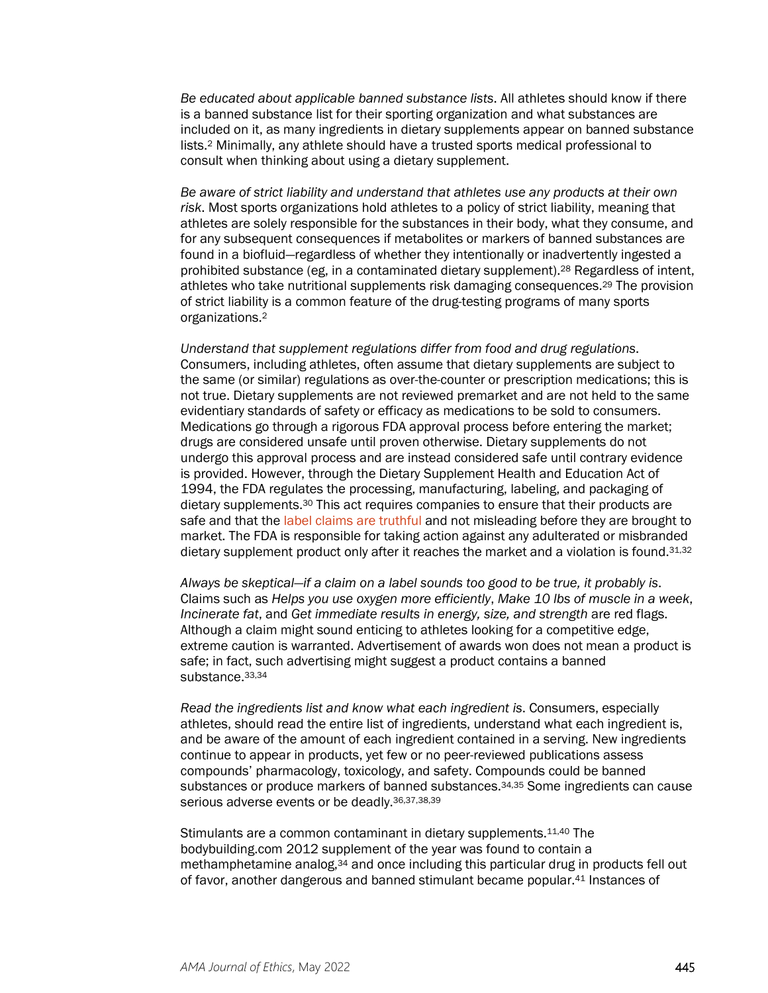*Be educated about applicable banned substance lists*. All athletes should know if there is a banned substance list for their sporting organization and what substances are included on it, as many ingredients in dietary supplements appear on banned substance lists.2 Minimally, any athlete should have a trusted sports medical professional to consult when thinking about using a dietary supplement.

*Be aware of strict liability and understand that athletes use any products at their own risk*. Most sports organizations hold athletes to a policy of strict liability, meaning that athletes are solely responsible for the substances in their body, what they consume, and for any subsequent consequences if metabolites or markers of banned substances are found in a biofluid—regardless of whether they intentionally or inadvertently ingested a prohibited substance (eg, in a contaminated dietary supplement).28 Regardless of intent, athletes who take nutritional supplements risk damaging consequences.29 The provision of strict liability is a common feature of the drug-testing programs of many sports organizations.2

*Understand that supplement regulations differ from food and drug regulations*. Consumers, including athletes, often assume that dietary supplements are subject to the same (or similar) regulations as over-the-counter or prescription medications; this is not true. Dietary supplements are not reviewed premarket and are not held to the same evidentiary standards of safety or efficacy as medications to be sold to consumers. Medications go through a rigorous FDA approval process before entering the market; drugs are considered unsafe until proven otherwise. Dietary supplements do not undergo this approval process and are instead considered safe until contrary evidence is provided. However, through the Dietary Supplement Health and Education Act of 1994, the FDA regulates the processing, manufacturing, labeling, and packaging of dietary supplements.30 This act requires companies to ensure that their products are safe and that the [label claims are truthful](https://journalofethics.ama-assn.org/article/role-direct-consumer-pharmaceutical-advertising-patient-consumerism/2013-11) and not misleading before they are brought to market. The FDA is responsible for taking action against any adulterated or misbranded dietary supplement product only after it reaches the market and a violation is found.<sup>31,32</sup>

*Always be skeptical—if a claim on a label sounds too good to be true, it probably is*. Claims such as *Helps you use oxygen more efficiently*, *Make 10 lbs of muscle in a week*, *Incinerate fat, and Get immediate results in energy, size, and strength are red flags.* Although a claim might sound enticing to athletes looking for a competitive edge, extreme caution is warranted. Advertisement of awards won does not mean a product is safe; in fact, such advertising might suggest a product contains a banned substance.33,34

*Read the ingredients list and know what each ingredient is*. Consumers, especially athletes, should read the entire list of ingredients, understand what each ingredient is, and be aware of the amount of each ingredient contained in a serving. New ingredients continue to appear in products, yet few or no peer-reviewed publications assess compounds' pharmacology, toxicology, and safety. Compounds could be banned substances or produce markers of banned substances.34,35 Some ingredients can cause serious adverse events or be deadly.36,37,38,39

Stimulants are a common contaminant in dietary supplements.11,40 The bodybuilding.com 2012 supplement of the year was found to contain a methamphetamine analog,34 and once including this particular drug in products fell out of favor, another dangerous and banned stimulant became popular.41 Instances of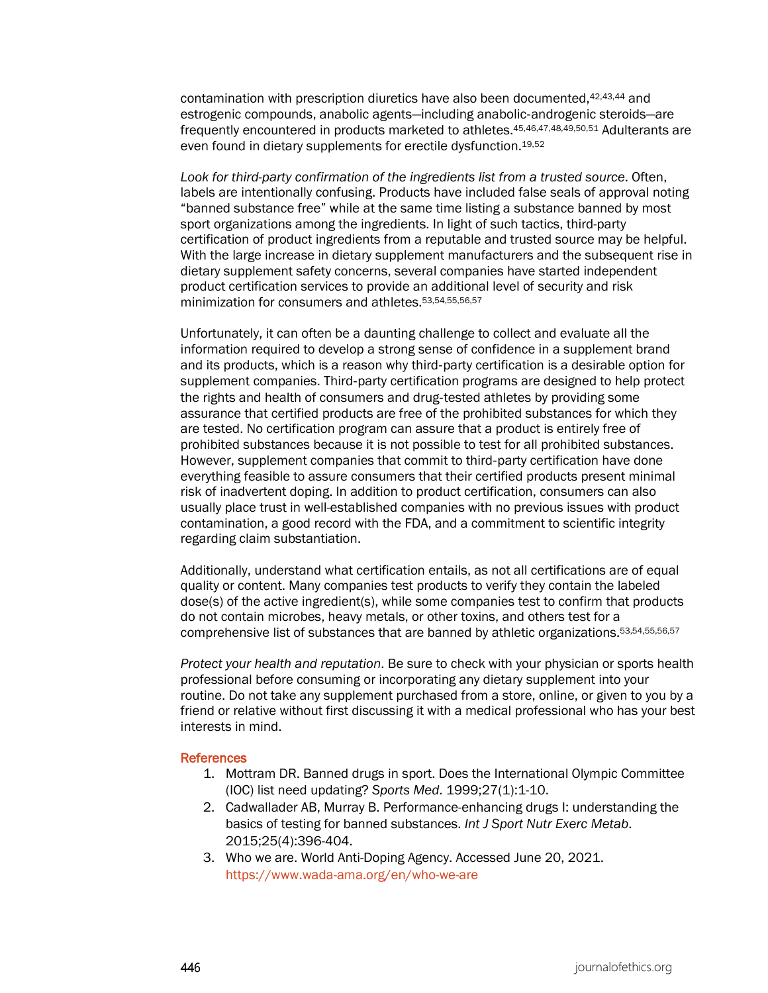contamination with prescription diuretics have also been documented,42,43,44 and estrogenic compounds, anabolic agents—including anabolic‐androgenic steroids—are frequently encountered in products marketed to athletes.45,46,47,48,49,50,51 Adulterants are even found in dietary supplements for erectile dysfunction.19,52

*Look for third-party confirmation of the ingredients list from a trusted source*. Often, labels are intentionally confusing. Products have included false seals of approval noting "banned substance free" while at the same time listing a substance banned by most sport organizations among the ingredients. In light of such tactics, third-party certification of product ingredients from a reputable and trusted source may be helpful. With the large increase in dietary supplement manufacturers and the subsequent rise in dietary supplement safety concerns, several companies have started independent product certification services to provide an additional level of security and risk minimization for consumers and athletes.53,54,55,56,57

Unfortunately, it can often be a daunting challenge to collect and evaluate all the information required to develop a strong sense of confidence in a supplement brand and its products, which is a reason why third‐party certification is a desirable option for supplement companies. Third‐party certification programs are designed to help protect the rights and health of consumers and drug‐tested athletes by providing some assurance that certified products are free of the prohibited substances for which they are tested. No certification program can assure that a product is entirely free of prohibited substances because it is not possible to test for all prohibited substances. However, supplement companies that commit to third‐party certification have done everything feasible to assure consumers that their certified products present minimal risk of inadvertent doping. In addition to product certification, consumers can also usually place trust in well-established companies with no previous issues with product contamination, a good record with the FDA, and a commitment to scientific integrity regarding claim substantiation.

Additionally, understand what certification entails, as not all certifications are of equal quality or content. Many companies test products to verify they contain the labeled dose(s) of the active ingredient(s), while some companies test to confirm that products do not contain microbes, heavy metals, or other toxins, and others test for a comprehensive list of substances that are banned by athletic organizations.53,54,55,56,57

*Protect your health and reputation*. Be sure to check with your physician or sports health professional before consuming or incorporating any dietary supplement into your routine. Do not take any supplement purchased from a store, online, or given to you by a friend or relative without first discussing it with a medical professional who has your best interests in mind.

#### **References**

- 1. Mottram DR. Banned drugs in sport. Does the International Olympic Committee (IOC) list need updating? *Sports Med*. 1999;27(1):1-10.
- 2. Cadwallader AB, Murray B. Performance-enhancing drugs I: understanding the basics of testing for banned substances. *Int J Sport Nutr Exerc Metab*. 2015;25(4):396-404.
- 3. Who we are. World Anti-Doping Agency. Accessed June 20, 2021. <https://www.wada-ama.org/en/who-we-are>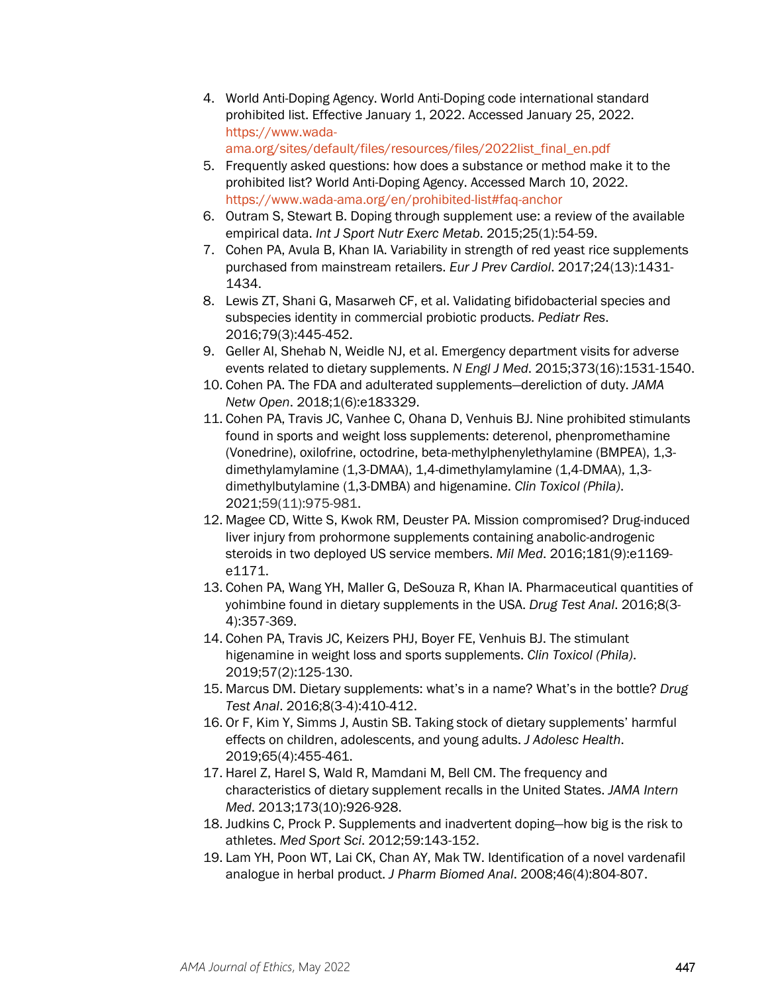- 4. World Anti-Doping Agency. World Anti-Doping code international standard prohibited list. Effective January 1, 2022. Accessed January 25, 2022. [https://www.wada](https://www.wada-ama.org/sites/default/files/resources/files/2022list_final_en.pdf)[ama.org/sites/default/files/resources/files/2022list\\_final\\_en.pdf](https://www.wada-ama.org/sites/default/files/resources/files/2022list_final_en.pdf)
- 5. Frequently asked questions: how does a substance or method make it to the prohibited list? World Anti-Doping Agency. Accessed March 10, 2022.
- <https://www.wada-ama.org/en/prohibited-list#faq-anchor> 6. Outram S, Stewart B. Doping through supplement use: a review of the available empirical data. *Int J Sport Nutr Exerc Metab*. 2015;25(1):54-59.
- 7. Cohen PA, Avula B, Khan IA. Variability in strength of red yeast rice supplements purchased from mainstream retailers. *Eur J Prev Cardiol*. 2017;24(13):1431- 1434.
- 8. Lewis ZT, Shani G, Masarweh CF, et al. Validating bifidobacterial species and subspecies identity in commercial probiotic products. *Pediatr Res*. 2016;79(3):445-452.
- 9. Geller AI, Shehab N, Weidle NJ, et al. Emergency department visits for adverse events related to dietary supplements. *N Engl J Med*. 2015;373(16):1531-1540.
- 10. Cohen PA. The FDA and adulterated supplements—dereliction of duty. *JAMA Netw Open*. 2018;1(6):e183329.
- 11. Cohen PA, Travis JC, Vanhee C, Ohana D, Venhuis BJ. Nine prohibited stimulants found in sports and weight loss supplements: deterenol, phenpromethamine (Vonedrine), oxilofrine, octodrine, beta-methylphenylethylamine (BMPEA), 1,3 dimethylamylamine (1,3-DMAA), 1,4-dimethylamylamine (1,4-DMAA), 1,3 dimethylbutylamine (1,3-DMBA) and higenamine. *Clin Toxicol (Phila)*. 2021;59(11):975-981.
- 12. Magee CD, Witte S, Kwok RM, Deuster PA. Mission compromised? Drug-induced liver injury from prohormone supplements containing anabolic-androgenic steroids in two deployed US service members. *Mil Med*. 2016;181(9):e1169 e1171.
- 13. Cohen PA, Wang YH, Maller G, DeSouza R, Khan IA. Pharmaceutical quantities of yohimbine found in dietary supplements in the USA. *Drug Test Anal*. 2016;8(3- 4):357-369.
- 14. Cohen PA, Travis JC, Keizers PHJ, Boyer FE, Venhuis BJ. The stimulant higenamine in weight loss and sports supplements. *Clin Toxicol (Phila)*. 2019;57(2):125-130.
- 15. Marcus DM. Dietary supplements: what's in a name? What's in the bottle? *Drug Test Anal*. 2016;8(3-4):410-412.
- 16. Or F, Kim Y, Simms J, Austin SB. Taking stock of dietary supplements' harmful effects on children, adolescents, and young adults. *J Adolesc Health*. 2019;65(4):455-461.
- 17. Harel Z, Harel S, Wald R, Mamdani M, Bell CM. The frequency and characteristics of dietary supplement recalls in the United States. *JAMA Intern Med*. 2013;173(10):926-928.
- 18. Judkins C, Prock P. Supplements and inadvertent doping—how big is the risk to athletes. *Med Sport Sci*. 2012;59:143-152.
- 19. Lam YH, Poon WT, Lai CK, Chan AY, Mak TW. Identification of a novel vardenafil analogue in herbal product. *J Pharm Biomed Anal*. 2008;46(4):804-807.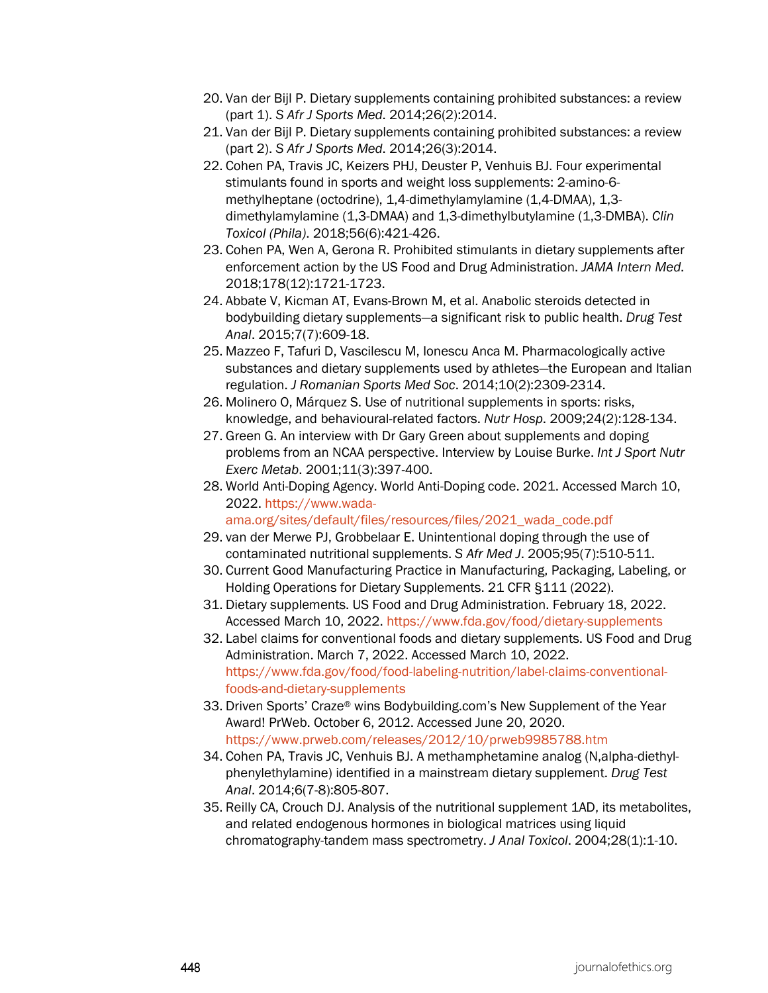- 20. Van der Bijl P. Dietary supplements containing prohibited substances: a review (part 1). *S Afr J Sports Med*. 2014;26(2):2014.
- 21. Van der Bijl P. Dietary supplements containing prohibited substances: a review (part 2). *S Afr J Sports Med*. 2014;26(3):2014.
- 22. Cohen PA, Travis JC, Keizers PHJ, Deuster P, Venhuis BJ. Four experimental stimulants found in sports and weight loss supplements: 2-amino-6 methylheptane (octodrine), 1,4-dimethylamylamine (1,4-DMAA), 1,3 dimethylamylamine (1,3-DMAA) and 1,3-dimethylbutylamine (1,3-DMBA). *Clin Toxicol (Phila)*. 2018;56(6):421-426.
- 23. Cohen PA, Wen A, Gerona R. Prohibited stimulants in dietary supplements after enforcement action by the US Food and Drug Administration. *JAMA Intern Med*. 2018;178(12):1721-1723.
- 24. Abbate V, Kicman AT, Evans-Brown M, et al. Anabolic steroids detected in bodybuilding dietary supplements—a significant risk to public health. *Drug Test Anal*. 2015;7(7):609-18.
- 25. Mazzeo F, Tafuri D, Vascilescu M, Ionescu Anca M. Pharmacologically active substances and dietary supplements used by athletes—the European and Italian regulation. *J Romanian Sports Med Soc*. 2014;10(2):2309-2314.
- 26. Molinero O, Márquez S. Use of nutritional supplements in sports: risks, knowledge, and behavioural-related factors. *Nutr Hosp*. 2009;24(2):128-134.
- 27. Green G. An interview with Dr Gary Green about supplements and doping problems from an NCAA perspective. Interview by Louise Burke. *Int J Sport Nutr Exerc Metab*. 2001;11(3):397-400.
- 28. World Anti-Doping Agency. World Anti-Doping code. 2021. Accessed March 10, 2022. [https://www.wada](https://www.wada-ama.org/sites/default/files/resources/files/2021_wada_code.pdf)
	- [ama.org/sites/default/files/resources/files/2021\\_wada\\_code.pdf](https://www.wada-ama.org/sites/default/files/resources/files/2021_wada_code.pdf)
- 29. van der Merwe PJ, Grobbelaar E. Unintentional doping through the use of contaminated nutritional supplements. *S Afr Med J*. 2005;95(7):510-511.
- 30. Current Good Manufacturing Practice in Manufacturing, Packaging, Labeling, or Holding Operations for Dietary Supplements. 21 CFR §111 (2022).
- 31. Dietary supplements. US Food and Drug Administration. February 18, 2022. Accessed March 10, 2022.<https://www.fda.gov/food/dietary-supplements>
- 32. Label claims for conventional foods and dietary supplements. US Food and Drug Administration. March 7, 2022. Accessed March 10, 2022. [https://www.fda.gov/food/food-labeling-nutrition/label-claims-conventional](https://www.fda.gov/food/food-labeling-nutrition/label-claims-conventional-foods-and-dietary-supplements)[foods-and-dietary-supplements](https://www.fda.gov/food/food-labeling-nutrition/label-claims-conventional-foods-and-dietary-supplements)
- 33. Driven Sports' Craze® wins Bodybuilding.com's New Supplement of the Year Award! PrWeb. October 6, 2012. Accessed June 20, 2020. <https://www.prweb.com/releases/2012/10/prweb9985788.htm>
- 34. Cohen PA, Travis JC, Venhuis BJ. A methamphetamine analog (N,alpha-diethylphenylethylamine) identified in a mainstream dietary supplement. *Drug Test Anal*. 2014;6(7-8):805-807.
- 35. Reilly CA, Crouch DJ. Analysis of the nutritional supplement 1AD, its metabolites, and related endogenous hormones in biological matrices using liquid chromatography-tandem mass spectrometry. *J Anal Toxicol*. 2004;28(1):1-10.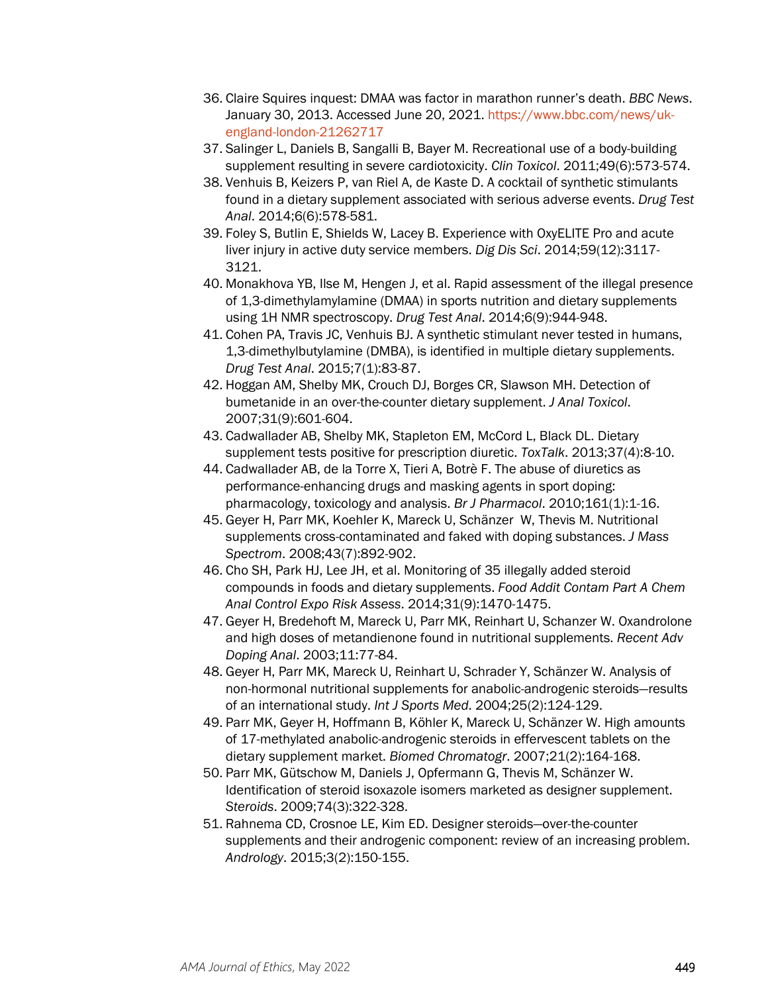- 36. Claire Squires inquest: DMAA was factor in marathon runner's death. *BBC News*. January 30, 2013. Accessed June 20, 2021. [https://www.bbc.com/news/uk](https://www.bbc.com/news/uk-england-london-21262717)[england-london-21262717](https://www.bbc.com/news/uk-england-london-21262717)
- 37. Salinger L, Daniels B, Sangalli B, Bayer M. Recreational use of a body-building supplement resulting in severe cardiotoxicity. *Clin Toxicol*. 2011;49(6):573-574.
- 38. Venhuis B, Keizers P, van Riel A, de Kaste D. A cocktail of synthetic stimulants found in a dietary supplement associated with serious adverse events. *Drug Test Anal*. 2014;6(6):578-581.
- 39. Foley S, Butlin E, Shields W, Lacey B. Experience with OxyELITE Pro and acute liver injury in active duty service members. *Dig Dis Sci*. 2014;59(12):3117- 3121.
- 40. Monakhova YB, Ilse M, Hengen J, et al. Rapid assessment of the illegal presence of 1,3-dimethylamylamine (DMAA) in sports nutrition and dietary supplements using 1H NMR spectroscopy. *Drug Test Anal*. 2014;6(9):944-948.
- 41. Cohen PA, Travis JC, Venhuis BJ. A synthetic stimulant never tested in humans, 1,3-dimethylbutylamine (DMBA), is identified in multiple dietary supplements. *Drug Test Anal*. 2015;7(1):83-87.
- 42. Hoggan AM, Shelby MK, Crouch DJ, Borges CR, Slawson MH. Detection of bumetanide in an over-the-counter dietary supplement. *J Anal Toxicol*. 2007;31(9):601-604.
- 43. Cadwallader AB, Shelby MK, Stapleton EM, McCord L, Black DL. Dietary supplement tests positive for prescription diuretic. *ToxTalk*. 2013;37(4):8-10.
- 44. Cadwallader AB, de la Torre X, Tieri A, Botrè F. The abuse of diuretics as performance-enhancing drugs and masking agents in sport doping: pharmacology, toxicology and analysis. *Br J Pharmacol*. 2010;161(1):1-16.
- 45. Geyer H, Parr MK, Koehler K, Mareck U, Schänzer W, Thevis M. Nutritional supplements cross-contaminated and faked with doping substances. *J Mass Spectrom*. 2008;43(7):892-902.
- 46. Cho SH, Park HJ, Lee JH, et al. Monitoring of 35 illegally added steroid compounds in foods and dietary supplements. *Food Addit Contam Part A Chem Anal Control Expo Risk Assess*. 2014;31(9):1470-1475.
- 47. Geyer H, Bredehoft M, Mareck U, Parr MK, Reinhart U, Schanzer W. Oxandrolone and high doses of metandienone found in nutritional supplements. *Recent Adv Doping Anal*. 2003;11:77-84.
- 48. Geyer H, Parr MK, Mareck U, Reinhart U, Schrader Y, Schänzer W. Analysis of non-hormonal nutritional supplements for anabolic-androgenic steroids—results of an international study. *Int J Sports Med*. 2004;25(2):124-129.
- 49. Parr MK, Geyer H, Hoffmann B, Köhler K, Mareck U, Schänzer W. High amounts of 17-methylated anabolic-androgenic steroids in effervescent tablets on the dietary supplement market. *Biomed Chromatogr*. 2007;21(2):164-168.
- 50. Parr MK, Gütschow M, Daniels J, Opfermann G, Thevis M, Schänzer W. Identification of steroid isoxazole isomers marketed as designer supplement. *Steroids*. 2009;74(3):322-328.
- 51. Rahnema CD, Crosnoe LE, Kim ED. Designer steroids—over-the-counter supplements and their androgenic component: review of an increasing problem. *Andrology*. 2015;3(2):150-155.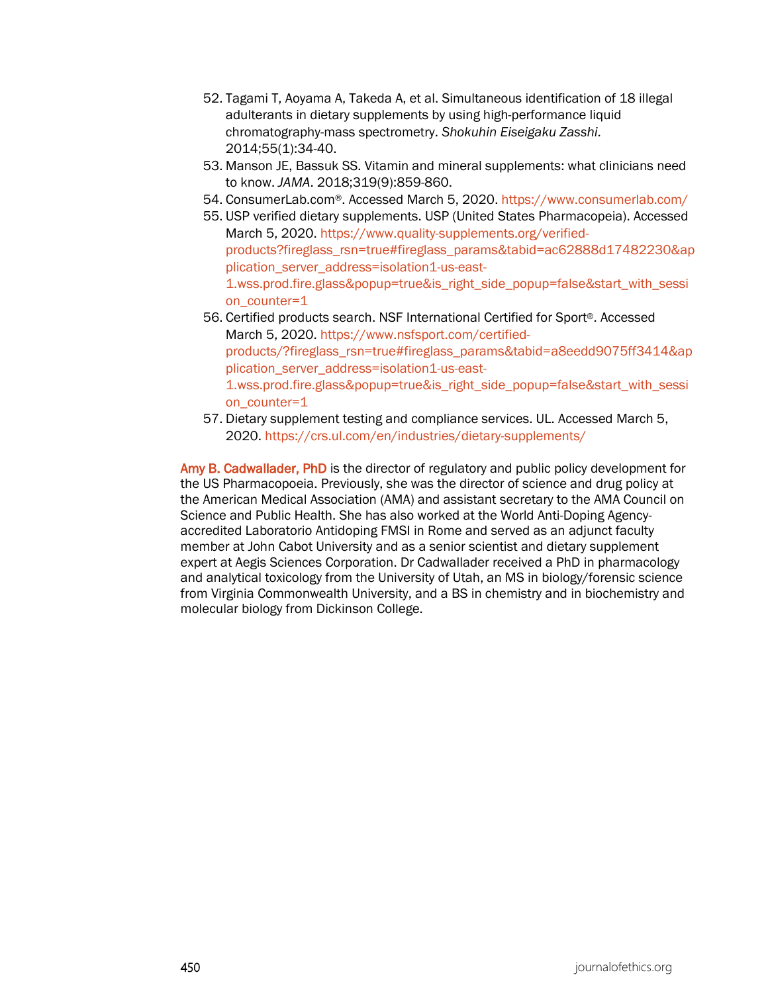- 52. Tagami T, Aoyama A, Takeda A, et al. Simultaneous identification of 18 illegal adulterants in dietary supplements by using high-performance liquid chromatography-mass spectrometry. *Shokuhin Eiseigaku Zasshi*. 2014;55(1):34-40.
- 53. Manson JE, Bassuk SS. Vitamin and mineral supplements: what clinicians need to know. *JAMA*. 2018;319(9):859-860.
- 54. ConsumerLab.com®. Accessed March 5, 2020.<https://www.consumerlab.com/>
- 55. USP verified dietary supplements. USP (United States Pharmacopeia). Accessed March 5, 2020. [https://www.quality-supplements.org/verified](https://www.quality-supplements.org/verified-products?fireglass_rsn=true#fireglass_params&tabid=ac62888d17482230&application_server_address=isolation1-us-east-1.wss.prod.fire.glass&popup=true&is_right_side_popup=false&start_with_session_counter=1)[products?fireglass\\_rsn=true#fireglass\\_params&tabid=ac62888d17482230&ap](https://www.quality-supplements.org/verified-products?fireglass_rsn=true#fireglass_params&tabid=ac62888d17482230&application_server_address=isolation1-us-east-1.wss.prod.fire.glass&popup=true&is_right_side_popup=false&start_with_session_counter=1) [plication\\_server\\_address=isolation1-us-east-](https://www.quality-supplements.org/verified-products?fireglass_rsn=true#fireglass_params&tabid=ac62888d17482230&application_server_address=isolation1-us-east-1.wss.prod.fire.glass&popup=true&is_right_side_popup=false&start_with_session_counter=1)[1.wss.prod.fire.glass&popup=true&is\\_right\\_side\\_popup=false&start\\_with\\_sessi](https://www.quality-supplements.org/verified-products?fireglass_rsn=true#fireglass_params&tabid=ac62888d17482230&application_server_address=isolation1-us-east-1.wss.prod.fire.glass&popup=true&is_right_side_popup=false&start_with_session_counter=1) [on\\_counter=1](https://www.quality-supplements.org/verified-products?fireglass_rsn=true#fireglass_params&tabid=ac62888d17482230&application_server_address=isolation1-us-east-1.wss.prod.fire.glass&popup=true&is_right_side_popup=false&start_with_session_counter=1)
- 56. Certified products search. NSF International Certified for Sport®. Accessed March 5, 2020. [https://www.nsfsport.com/certified](https://www.nsfsport.com/certified-products/?fireglass_rsn=true#fireglass_params&tabid=a8eedd9075ff3414&application_server_address=isolation1-us-east-1.wss.prod.fire.glass&popup=true&is_right_side_popup=false&start_with_session_counter=1)[products/?fireglass\\_rsn=true#fireglass\\_params&tabid=a8eedd9075ff3414&ap](https://www.nsfsport.com/certified-products/?fireglass_rsn=true#fireglass_params&tabid=a8eedd9075ff3414&application_server_address=isolation1-us-east-1.wss.prod.fire.glass&popup=true&is_right_side_popup=false&start_with_session_counter=1) [plication\\_server\\_address=isolation1-us-east-](https://www.nsfsport.com/certified-products/?fireglass_rsn=true#fireglass_params&tabid=a8eedd9075ff3414&application_server_address=isolation1-us-east-1.wss.prod.fire.glass&popup=true&is_right_side_popup=false&start_with_session_counter=1)[1.wss.prod.fire.glass&popup=true&is\\_right\\_side\\_popup=false&start\\_with\\_sessi](https://www.nsfsport.com/certified-products/?fireglass_rsn=true#fireglass_params&tabid=a8eedd9075ff3414&application_server_address=isolation1-us-east-1.wss.prod.fire.glass&popup=true&is_right_side_popup=false&start_with_session_counter=1) [on\\_counter=1](https://www.nsfsport.com/certified-products/?fireglass_rsn=true#fireglass_params&tabid=a8eedd9075ff3414&application_server_address=isolation1-us-east-1.wss.prod.fire.glass&popup=true&is_right_side_popup=false&start_with_session_counter=1)
- 57. Dietary supplement testing and compliance services. UL. Accessed March 5, 2020.<https://crs.ul.com/en/industries/dietary-supplements/>

Amy B. Cadwallader, PhD is the director of regulatory and public policy development for the US Pharmacopoeia. Previously, she was the director of science and drug policy at the American Medical Association (AMA) and assistant secretary to the AMA Council on Science and Public Health. She has also worked at the World Anti-Doping Agencyaccredited Laboratorio Antidoping FMSI in Rome and served as an adjunct faculty member at John Cabot University and as a senior scientist and dietary supplement expert at Aegis Sciences Corporation. Dr Cadwallader received a PhD in pharmacology and analytical toxicology from the University of Utah, an MS in biology/forensic science from Virginia Commonwealth University, and a BS in chemistry and in biochemistry and molecular biology from Dickinson College.